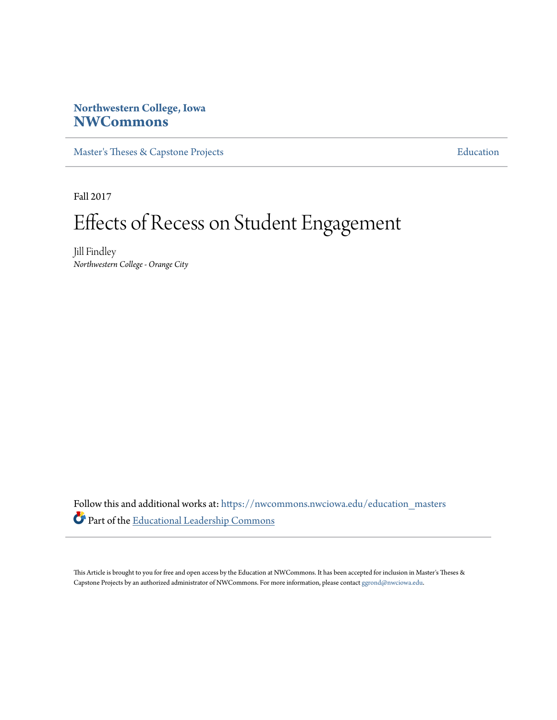# **Northwestern College, Iowa [NWCommons](https://nwcommons.nwciowa.edu?utm_source=nwcommons.nwciowa.edu%2Feducation_masters%2F68&utm_medium=PDF&utm_campaign=PDFCoverPages)**

[Master's Theses & Capstone Projects](https://nwcommons.nwciowa.edu/education_masters?utm_source=nwcommons.nwciowa.edu%2Feducation_masters%2F68&utm_medium=PDF&utm_campaign=PDFCoverPages) **[Education](https://nwcommons.nwciowa.edu/education?utm_source=nwcommons.nwciowa.edu%2Feducation_masters%2F68&utm_medium=PDF&utm_campaign=PDFCoverPages)** 

Fall 2017

# Effects of Recess on Student Engagement

Jill Findley *Northwestern College - Orange City*

Follow this and additional works at: [https://nwcommons.nwciowa.edu/education\\_masters](https://nwcommons.nwciowa.edu/education_masters?utm_source=nwcommons.nwciowa.edu%2Feducation_masters%2F68&utm_medium=PDF&utm_campaign=PDFCoverPages) Part of the [Educational Leadership Commons](http://network.bepress.com/hgg/discipline/1230?utm_source=nwcommons.nwciowa.edu%2Feducation_masters%2F68&utm_medium=PDF&utm_campaign=PDFCoverPages)

This Article is brought to you for free and open access by the Education at NWCommons. It has been accepted for inclusion in Master's Theses & Capstone Projects by an authorized administrator of NWCommons. For more information, please contact [ggrond@nwciowa.edu.](mailto:ggrond@nwciowa.edu)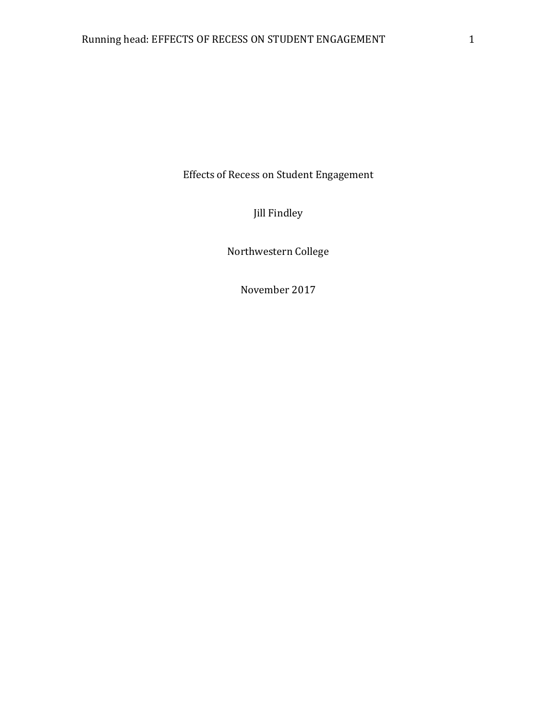Effects of Recess on Student Engagement

Jill Findley

Northwestern College

November 2017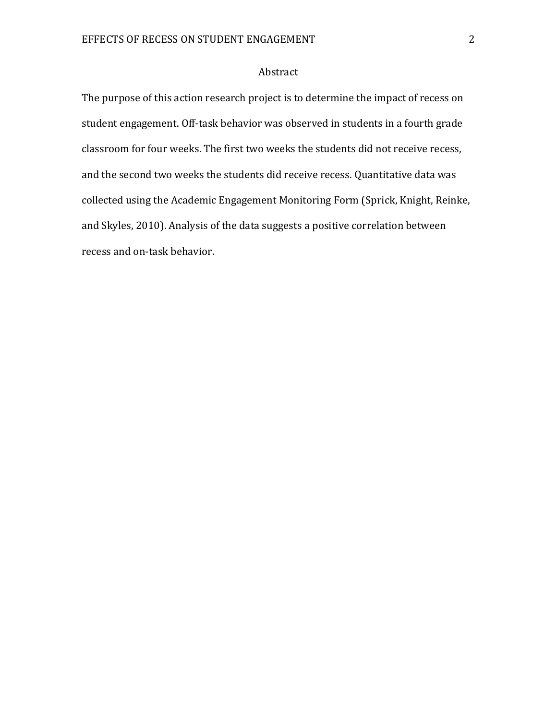# Abstract

The purpose of this action research project is to determine the impact of recess on student engagement. Off-task behavior was observed in students in a fourth grade classroom for four weeks. The first two weeks the students did not receive recess, and the second two weeks the students did receive recess. Quantitative data was collected using the Academic Engagement Monitoring Form (Sprick, Knight, Reinke, and Skyles, 2010). Analysis of the data suggests a positive correlation between recess and on-task behavior.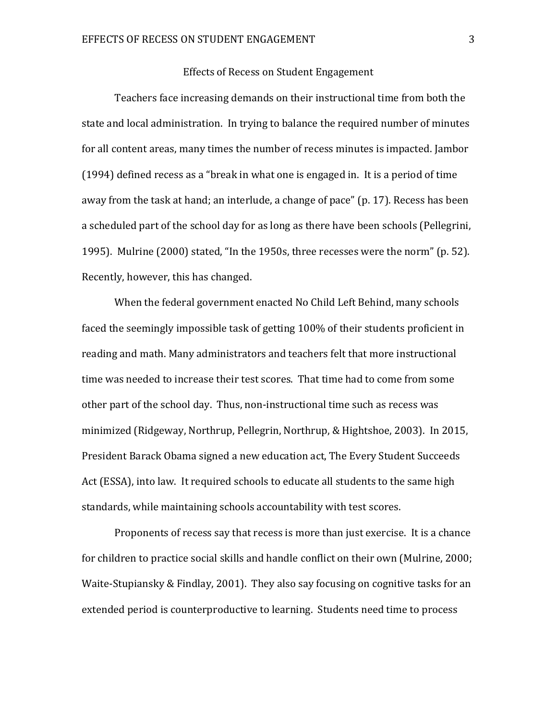### Effects of Recess on Student Engagement

Teachers face increasing demands on their instructional time from both the state and local administration. In trying to balance the required number of minutes for all content areas, many times the number of recess minutes is impacted. Jambor (1994) defined recess as a "break in what one is engaged in. It is a period of time away from the task at hand; an interlude, a change of pace" (p. 17). Recess has been a scheduled part of the school day for as long as there have been schools (Pellegrini, 1995). Mulrine (2000) stated, "In the 1950s, three recesses were the norm" (p. 52). Recently, however, this has changed.

When the federal government enacted No Child Left Behind, many schools faced the seemingly impossible task of getting 100% of their students proficient in reading and math. Many administrators and teachers felt that more instructional time was needed to increase their test scores. That time had to come from some other part of the school day. Thus, non-instructional time such as recess was minimized (Ridgeway, Northrup, Pellegrin, Northrup, & Hightshoe, 2003). In 2015, President Barack Obama signed a new education act, The Every Student Succeeds Act (ESSA), into law. It required schools to educate all students to the same high standards, while maintaining schools accountability with test scores.

Proponents of recess say that recess is more than just exercise. It is a chance for children to practice social skills and handle conflict on their own (Mulrine, 2000; Waite-Stupiansky & Findlay, 2001). They also say focusing on cognitive tasks for an extended period is counterproductive to learning. Students need time to process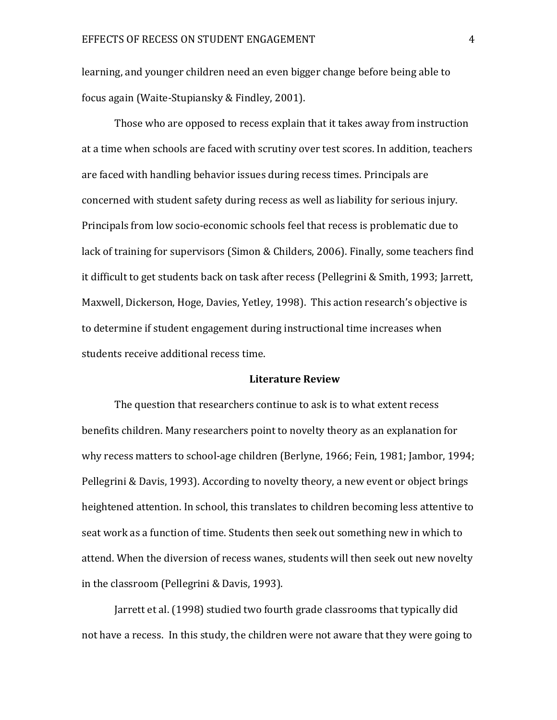learning, and younger children need an even bigger change before being able to focus again (Waite-Stupiansky & Findley, 2001).

Those who are opposed to recess explain that it takes away from instruction at a time when schools are faced with scrutiny over test scores. In addition, teachers are faced with handling behavior issues during recess times. Principals are concerned with student safety during recess as well as liability for serious injury. Principals from low socio-economic schools feel that recess is problematic due to lack of training for supervisors (Simon & Childers, 2006). Finally, some teachers find it difficult to get students back on task after recess (Pellegrini & Smith, 1993; Jarrett, Maxwell, Dickerson, Hoge, Davies, Yetley, 1998). This action research's objective is to determine if student engagement during instructional time increases when students receive additional recess time.

#### **Literature Review**

The question that researchers continue to ask is to what extent recess benefits children. Many researchers point to novelty theory as an explanation for why recess matters to school-age children (Berlyne, 1966; Fein, 1981; Jambor, 1994; Pellegrini & Davis, 1993). According to novelty theory, a new event or object brings heightened attention. In school, this translates to children becoming less attentive to seat work as a function of time. Students then seek out something new in which to attend. When the diversion of recess wanes, students will then seek out new novelty in the classroom (Pellegrini & Davis, 1993).

Jarrett et al. (1998) studied two fourth grade classrooms that typically did not have a recess. In this study, the children were not aware that they were going to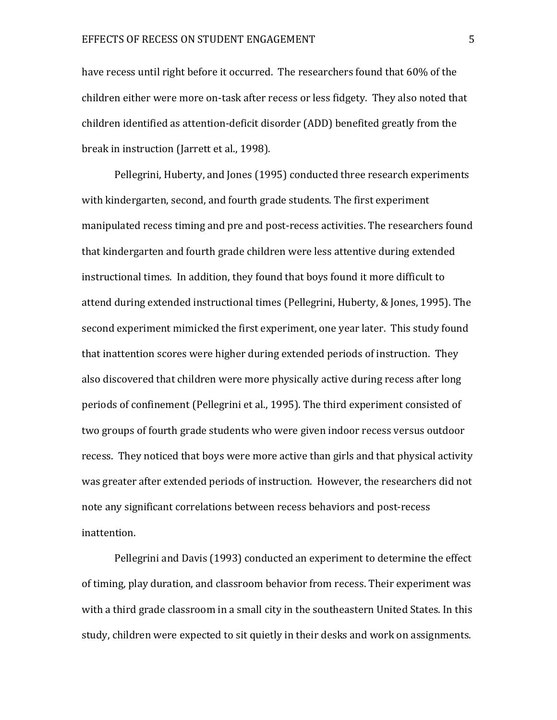have recess until right before it occurred. The researchers found that 60% of the children either were more on-task after recess or less fidgety. They also noted that children identified as attention-deficit disorder (ADD) benefited greatly from the break in instruction (Jarrett et al., 1998).

Pellegrini, Huberty, and Jones (1995) conducted three research experiments with kindergarten, second, and fourth grade students. The first experiment manipulated recess timing and pre and post-recess activities. The researchers found that kindergarten and fourth grade children were less attentive during extended instructional times. In addition, they found that boys found it more difficult to attend during extended instructional times (Pellegrini, Huberty, & Jones, 1995). The second experiment mimicked the first experiment, one year later. This study found that inattention scores were higher during extended periods of instruction. They also discovered that children were more physically active during recess after long periods of confinement (Pellegrini et al., 1995). The third experiment consisted of two groups of fourth grade students who were given indoor recess versus outdoor recess. They noticed that boys were more active than girls and that physical activity was greater after extended periods of instruction. However, the researchers did not note any significant correlations between recess behaviors and post-recess inattention.

Pellegrini and Davis (1993) conducted an experiment to determine the effect of timing, play duration, and classroom behavior from recess. Their experiment was with a third grade classroom in a small city in the southeastern United States. In this study, children were expected to sit quietly in their desks and work on assignments.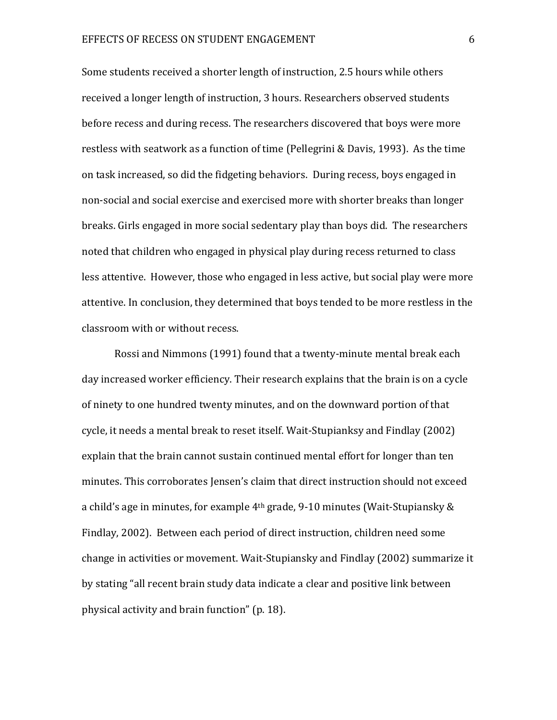Some students received a shorter length of instruction, 2.5 hours while others received a longer length of instruction, 3 hours. Researchers observed students before recess and during recess. The researchers discovered that boys were more restless with seatwork as a function of time (Pellegrini & Davis, 1993). As the time on task increased, so did the fidgeting behaviors. During recess, boys engaged in non-social and social exercise and exercised more with shorter breaks than longer breaks. Girls engaged in more social sedentary play than boys did. The researchers noted that children who engaged in physical play during recess returned to class less attentive. However, those who engaged in less active, but social play were more attentive. In conclusion, they determined that boys tended to be more restless in the classroom with or without recess.

Rossi and Nimmons (1991) found that a twenty-minute mental break each day increased worker efficiency. Their research explains that the brain is on a cycle of ninety to one hundred twenty minutes, and on the downward portion of that cycle, it needs a mental break to reset itself. Wait-Stupianksy and Findlay (2002) explain that the brain cannot sustain continued mental effort for longer than ten minutes. This corroborates Jensen's claim that direct instruction should not exceed a child's age in minutes, for example 4th grade, 9-10 minutes (Wait-Stupiansky & Findlay, 2002). Between each period of direct instruction, children need some change in activities or movement. Wait-Stupiansky and Findlay (2002) summarize it by stating "all recent brain study data indicate a clear and positive link between physical activity and brain function" (p. 18).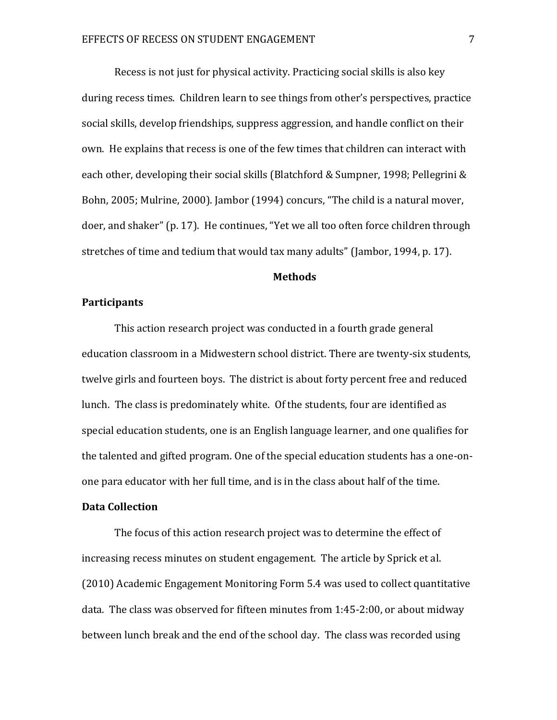Recess is not just for physical activity. Practicing social skills is also key during recess times. Children learn to see things from other's perspectives, practice social skills, develop friendships, suppress aggression, and handle conflict on their own. He explains that recess is one of the few times that children can interact with each other, developing their social skills (Blatchford & Sumpner, 1998; Pellegrini & Bohn, 2005; Mulrine, 2000). Jambor (1994) concurs, "The child is a natural mover, doer, and shaker" (p. 17). He continues, "Yet we all too often force children through stretches of time and tedium that would tax many adults" (Jambor, 1994, p. 17).

# **Methods**

### **Participants**

This action research project was conducted in a fourth grade general education classroom in a Midwestern school district. There are twenty-six students, twelve girls and fourteen boys. The district is about forty percent free and reduced lunch. The class is predominately white. Of the students, four are identified as special education students, one is an English language learner, and one qualifies for the talented and gifted program. One of the special education students has a one-onone para educator with her full time, and is in the class about half of the time.

# **Data Collection**

The focus of this action research project was to determine the effect of increasing recess minutes on student engagement. The article by Sprick et al. (2010) Academic Engagement Monitoring Form 5.4 was used to collect quantitative data. The class was observed for fifteen minutes from 1:45-2:00, or about midway between lunch break and the end of the school day. The class was recorded using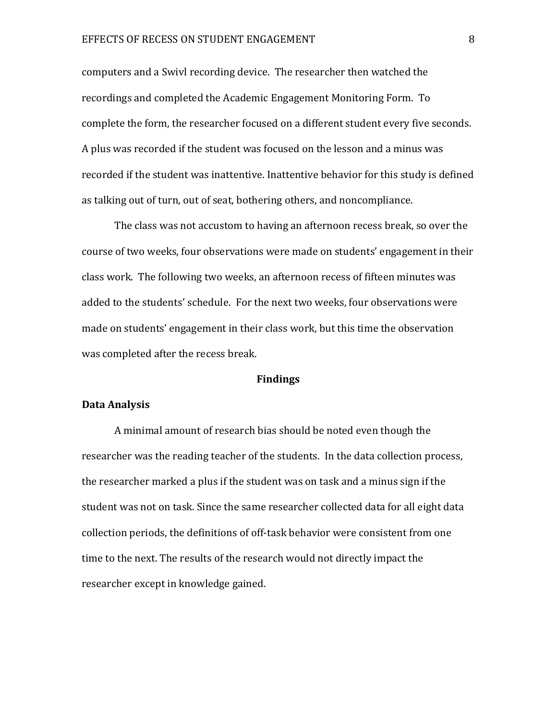#### EFFECTS OF RECESS ON STUDENT ENGAGEMENT **FOLLOWING SETTLE**

computers and a Swivl recording device. The researcher then watched the recordings and completed the Academic Engagement Monitoring Form. To complete the form, the researcher focused on a different student every five seconds. A plus was recorded if the student was focused on the lesson and a minus was recorded if the student was inattentive. Inattentive behavior for this study is defined as talking out of turn, out of seat, bothering others, and noncompliance.

The class was not accustom to having an afternoon recess break, so over the course of two weeks, four observations were made on students' engagement in their class work. The following two weeks, an afternoon recess of fifteen minutes was added to the students' schedule. For the next two weeks, four observations were made on students' engagement in their class work, but this time the observation was completed after the recess break.

#### **Findings**

# **Data Analysis**

A minimal amount of research bias should be noted even though the researcher was the reading teacher of the students. In the data collection process, the researcher marked a plus if the student was on task and a minus sign if the student was not on task. Since the same researcher collected data for all eight data collection periods, the definitions of off-task behavior were consistent from one time to the next. The results of the research would not directly impact the researcher except in knowledge gained.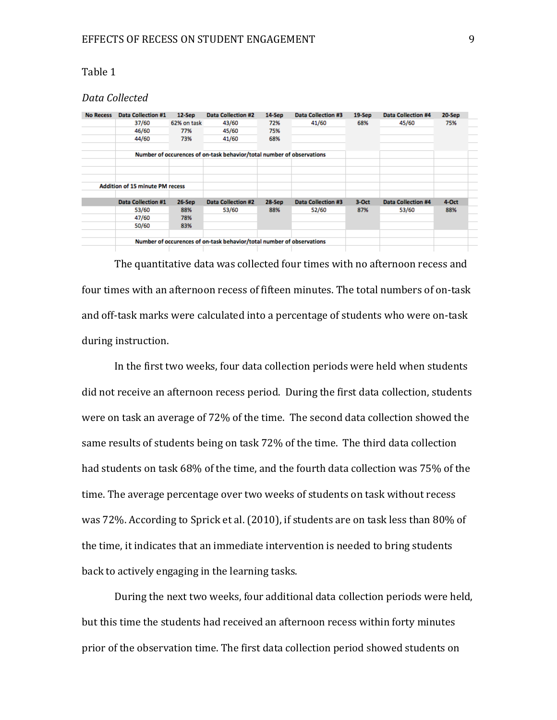# Table 1

# *Data Collected*

| <b>No Recess</b> | <b>Data Collection #1</b>              | $12-Sep$                  | <b>Data Collection #2</b>                                             | 14-Sep            | <b>Data Collection #3</b> | $19-$ Sep | <b>Data Collection #4</b> | 20-Sep |  |
|------------------|----------------------------------------|---------------------------|-----------------------------------------------------------------------|-------------------|---------------------------|-----------|---------------------------|--------|--|
|                  | 37/60                                  | 62% on task<br>77%<br>73% | 43/60<br>45/60<br>41/60                                               | 72%<br>75%<br>68% | 41/60                     | 68%       | 45/60                     | 75%    |  |
|                  | 46/60                                  |                           |                                                                       |                   |                           |           |                           |        |  |
|                  | 44/60                                  |                           |                                                                       |                   |                           |           |                           |        |  |
|                  |                                        |                           | Number of occurences of on-task behavior/total number of observations |                   |                           |           |                           |        |  |
|                  |                                        |                           |                                                                       |                   |                           |           |                           |        |  |
|                  | <b>Addition of 15 minute PM recess</b> |                           |                                                                       |                   |                           |           |                           |        |  |
|                  | <b>Data Collection #1</b>              | 26-Sep                    | <b>Data Collection #2</b>                                             | 28-Sep            | <b>Data Collection #3</b> | 3-Oct     | <b>Data Collection #4</b> | 4-Oct  |  |
|                  | 53/60                                  | 88%                       | 53/60                                                                 | 88%               | 52/60                     | 87%       | 53/60                     | 88%    |  |
|                  | 47/60                                  | 78%                       |                                                                       |                   |                           |           |                           |        |  |
|                  | 50/60                                  | 83%                       |                                                                       |                   |                           |           |                           |        |  |
|                  |                                        |                           | Number of occurences of on-task behavior/total number of observations |                   |                           |           |                           |        |  |
|                  |                                        |                           |                                                                       |                   |                           |           |                           |        |  |

The quantitative data was collected four times with no afternoon recess and four times with an afternoon recess of fifteen minutes. The total numbers of on-task and off-task marks were calculated into a percentage of students who were on-task during instruction.

In the first two weeks, four data collection periods were held when students did not receive an afternoon recess period. During the first data collection, students were on task an average of 72% of the time. The second data collection showed the same results of students being on task 72% of the time. The third data collection had students on task 68% of the time, and the fourth data collection was 75% of the time. The average percentage over two weeks of students on task without recess was 72%. According to Sprick et al. (2010), if students are on task less than 80% of the time, it indicates that an immediate intervention is needed to bring students back to actively engaging in the learning tasks.

During the next two weeks, four additional data collection periods were held, but this time the students had received an afternoon recess within forty minutes prior of the observation time. The first data collection period showed students on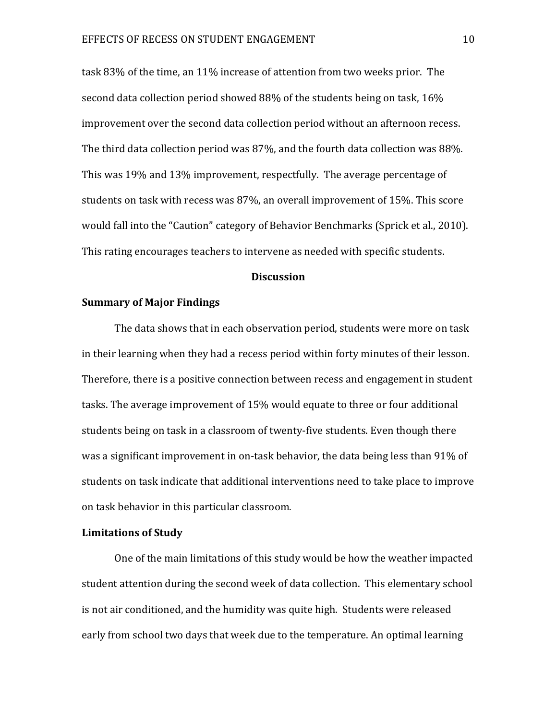task 83% of the time, an 11% increase of attention from two weeks prior. The second data collection period showed 88% of the students being on task, 16% improvement over the second data collection period without an afternoon recess. The third data collection period was 87%, and the fourth data collection was 88%. This was 19% and 13% improvement, respectfully. The average percentage of students on task with recess was 87%, an overall improvement of 15%. This score would fall into the "Caution" category of Behavior Benchmarks (Sprick et al., 2010). This rating encourages teachers to intervene as needed with specific students.

# **Discussion**

### **Summary of Major Findings**

The data shows that in each observation period, students were more on task in their learning when they had a recess period within forty minutes of their lesson. Therefore, there is a positive connection between recess and engagement in student tasks. The average improvement of 15% would equate to three or four additional students being on task in a classroom of twenty-five students. Even though there was a significant improvement in on-task behavior, the data being less than 91% of students on task indicate that additional interventions need to take place to improve on task behavior in this particular classroom.

## **Limitations of Study**

One of the main limitations of this study would be how the weather impacted student attention during the second week of data collection. This elementary school is not air conditioned, and the humidity was quite high. Students were released early from school two days that week due to the temperature. An optimal learning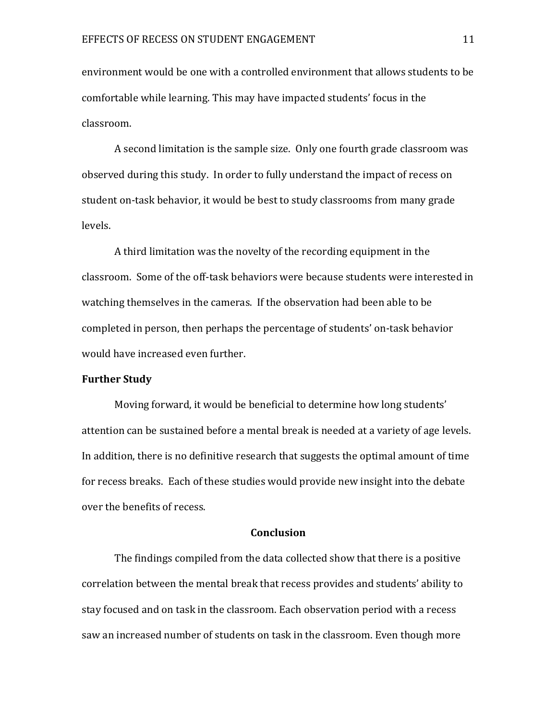environment would be one with a controlled environment that allows students to be comfortable while learning. This may have impacted students' focus in the classroom.

A second limitation is the sample size. Only one fourth grade classroom was observed during this study. In order to fully understand the impact of recess on student on-task behavior, it would be best to study classrooms from many grade levels.

A third limitation was the novelty of the recording equipment in the classroom. Some of the off-task behaviors were because students were interested in watching themselves in the cameras. If the observation had been able to be completed in person, then perhaps the percentage of students' on-task behavior would have increased even further.

### **Further Study**

Moving forward, it would be beneficial to determine how long students' attention can be sustained before a mental break is needed at a variety of age levels. In addition, there is no definitive research that suggests the optimal amount of time for recess breaks. Each of these studies would provide new insight into the debate over the benefits of recess.

#### **Conclusion**

The findings compiled from the data collected show that there is a positive correlation between the mental break that recess provides and students' ability to stay focused and on task in the classroom. Each observation period with a recess saw an increased number of students on task in the classroom. Even though more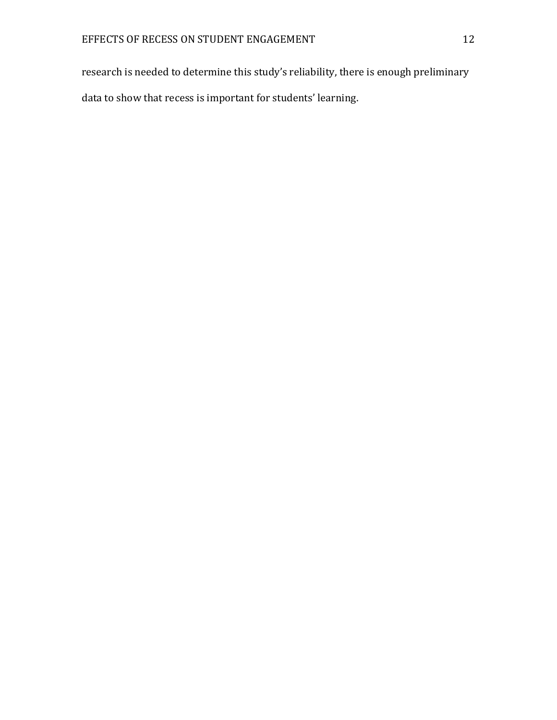research is needed to determine this study's reliability, there is enough preliminary data to show that recess is important for students' learning.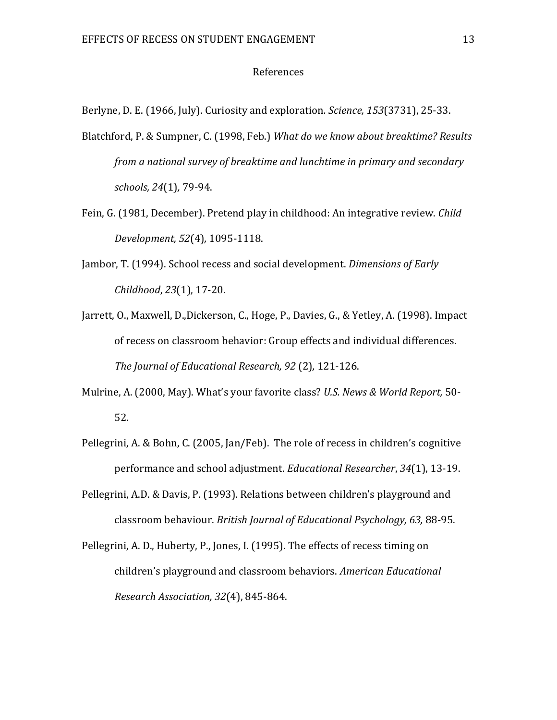### References

Berlyne, D. E. (1966, July). Curiosity and exploration*. Science, 153*(3731), 25-33.

- Blatchford, P. & Sumpner, C. (1998, Feb.) *What do we know about breaktime? Results from a national survey of breaktime and lunchtime in primary and secondary schools, 24*(1)*,* 79-94.
- Fein, G. (1981, December). Pretend play in childhood: An integrative review. *Child Development, 52*(4)*,* 1095-1118.
- Jambor, T. (1994). School recess and social development. *Dimensions of Early Childhood*, *23*(1), 17-20.
- Jarrett, O., Maxwell, D.,Dickerson, C., Hoge, P., Davies, G., & Yetley, A. (1998). Impact of recess on classroom behavior: Group effects and individual differences. *The Journal of Educational Research, 92* (2)*,* 121-126.
- Mulrine, A. (2000, May). What's your favorite class? *U.S. News & World Report,* 50- 52.
- Pellegrini, A. & Bohn, C. (2005, Jan/Feb). The role of recess in children's cognitive performance and school adjustment. *Educational Researcher*, *34*(1), 13-19.
- Pellegrini, A.D. & Davis, P. (1993). Relations between children's playground and classroom behaviour. *British Journal of Educational Psychology, 63,* 88-95.
- Pellegrini, A. D., Huberty, P., Jones, I. (1995). The effects of recess timing on children's playground and classroom behaviors. *American Educational Research Association, 32*(4), 845-864.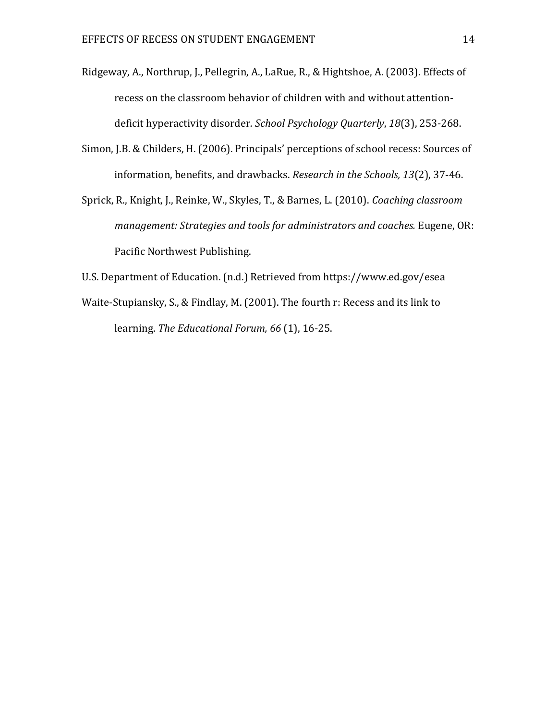- Ridgeway, A., Northrup, J., Pellegrin, A., LaRue, R., & Hightshoe, A. (2003). Effects of recess on the classroom behavior of children with and without attentiondeficit hyperactivity disorder*. School Psychology Quarterly*, *18*(3), 253-268.
- Simon, J.B. & Childers, H. (2006). Principals' perceptions of school recess: Sources of information, benefits, and drawbacks. *Research in the Schools, 13*(2), 37-46.
- Sprick, R., Knight, J., Reinke, W., Skyles, T., & Barnes, L. (2010). *Coaching classroom management: Strategies and tools for administrators and coaches.* Eugene, OR: Pacific Northwest Publishing.
- U.S. Department of Education. (n.d.) Retrieved from https://www.ed.gov/esea
- Waite-Stupiansky, S., & Findlay, M. (2001). The fourth r: Recess and its link to learning. *The Educational Forum, 66* (1), 16-25.